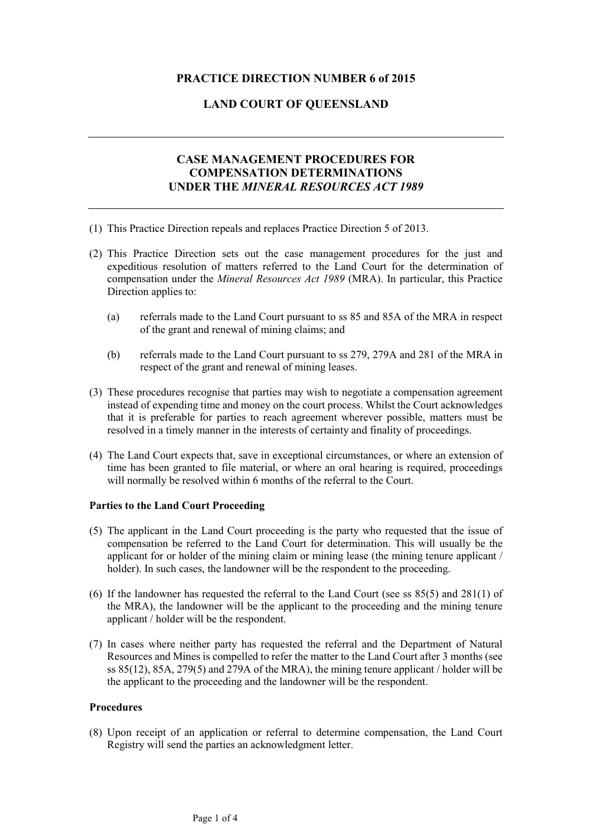## **PRACTICE DIRECTION NUMBER 6 of 2015**

## **LAND COURT OF QUEENSLAND**

# **CASE MANAGEMENT PROCEDURES FOR COMPENSATION DETERMINATIONS UNDER THE** *MINERAL RESOURCES ACT 1989*

- (1) This Practice Direction repeals and replaces Practice Direction 5 of 2013.
- (2) This Practice Direction sets out the case management procedures for the just and expeditious resolution of matters referred to the Land Court for the determination of compensation under the *Mineral Resources Act 1989* (MRA). In particular, this Practice Direction applies to:
	- (a) referrals made to the Land Court pursuant to ss 85 and 85A of the MRA in respect of the grant and renewal of mining claims; and
	- (b) referrals made to the Land Court pursuant to ss 279, 279A and 281 of the MRA in respect of the grant and renewal of mining leases.
- (3) These procedures recognise that parties may wish to negotiate a compensation agreement instead of expending time and money on the court process. Whilst the Court acknowledges that it is preferable for parties to reach agreement wherever possible, matters must be resolved in a timely manner in the interests of certainty and finality of proceedings.
- (4) The Land Court expects that, save in exceptional circumstances, or where an extension of time has been granted to file material, or where an oral hearing is required, proceedings will normally be resolved within 6 months of the referral to the Court.

## **Parties to the Land Court Proceeding**

- (5) The applicant in the Land Court proceeding is the party who requested that the issue of compensation be referred to the Land Court for determination. This will usually be the applicant for or holder of the mining claim or mining lease (the mining tenure applicant / holder). In such cases, the landowner will be the respondent to the proceeding.
- (6) If the landowner has requested the referral to the Land Court (see ss 85(5) and 281(1) of the MRA), the landowner will be the applicant to the proceeding and the mining tenure applicant / holder will be the respondent.
- (7) In cases where neither party has requested the referral and the Department of Natural Resources and Mines is compelled to refer the matter to the Land Court after 3 months (see ss 85(12), 85A, 279(5) and 279A of the MRA), the mining tenure applicant / holder will be the applicant to the proceeding and the landowner will be the respondent.

## **Procedures**

(8) Upon receipt of an application or referral to determine compensation, the Land Court Registry will send the parties an acknowledgment letter.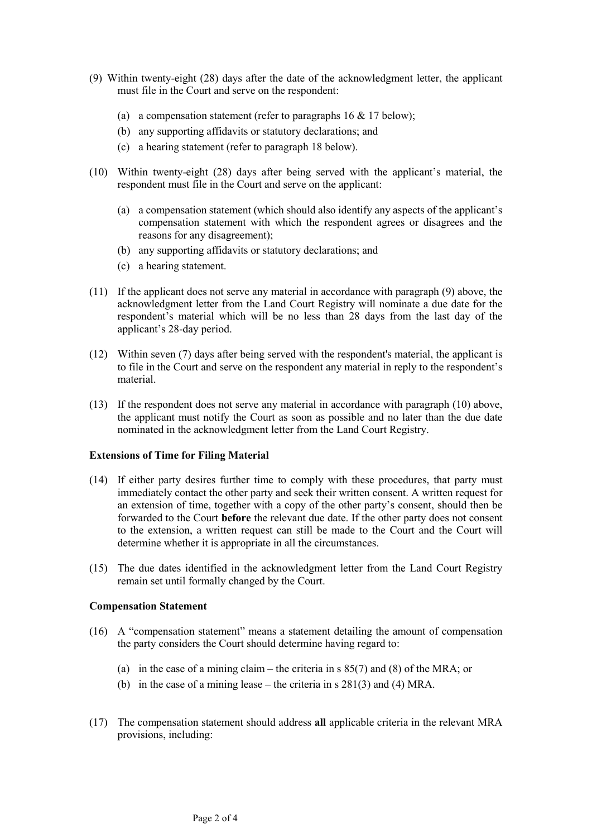- (9) Within twenty-eight (28) days after the date of the acknowledgment letter, the applicant must file in the Court and serve on the respondent:
	- (a) a compensation statement (refer to paragraphs  $16 \& 17$  below);
	- (b) any supporting affidavits or statutory declarations; and
	- (c) a hearing statement (refer to paragraph 18 below).
- (10) Within twenty-eight (28) days after being served with the applicant's material, the respondent must file in the Court and serve on the applicant:
	- (a) a compensation statement (which should also identify any aspects of the applicant's compensation statement with which the respondent agrees or disagrees and the reasons for any disagreement);
	- (b) any supporting affidavits or statutory declarations; and
	- (c) a hearing statement.
- (11) If the applicant does not serve any material in accordance with paragraph (9) above, the acknowledgment letter from the Land Court Registry will nominate a due date for the respondent's material which will be no less than 28 days from the last day of the applicant's 28-day period.
- (12) Within seven (7) days after being served with the respondent's material, the applicant is to file in the Court and serve on the respondent any material in reply to the respondent's material.
- (13) If the respondent does not serve any material in accordance with paragraph (10) above, the applicant must notify the Court as soon as possible and no later than the due date nominated in the acknowledgment letter from the Land Court Registry.

#### **Extensions of Time for Filing Material**

- (14) If either party desires further time to comply with these procedures, that party must immediately contact the other party and seek their written consent. A written request for an extension of time, together with a copy of the other party's consent, should then be forwarded to the Court **before** the relevant due date. If the other party does not consent to the extension, a written request can still be made to the Court and the Court will determine whether it is appropriate in all the circumstances.
- (15) The due dates identified in the acknowledgment letter from the Land Court Registry remain set until formally changed by the Court.

#### **Compensation Statement**

- (16) A "compensation statement" means a statement detailing the amount of compensation the party considers the Court should determine having regard to:
	- (a) in the case of a mining claim the criteria in s 85(7) and (8) of the MRA; or
	- (b) in the case of a mining lease the criteria in s 281(3) and (4) MRA.
- (17) The compensation statement should address **all** applicable criteria in the relevant MRA provisions, including: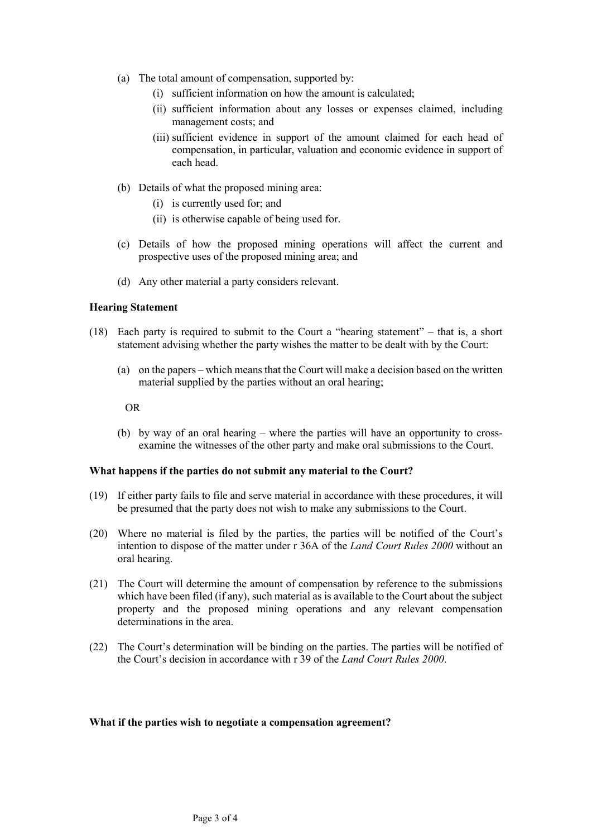- (a) The total amount of compensation, supported by:
	- (i) sufficient information on how the amount is calculated;
	- (ii) sufficient information about any losses or expenses claimed, including management costs; and
	- (iii) sufficient evidence in support of the amount claimed for each head of compensation, in particular, valuation and economic evidence in support of each head.
- (b) Details of what the proposed mining area:
	- (i) is currently used for; and
	- (ii) is otherwise capable of being used for.
- (c) Details of how the proposed mining operations will affect the current and prospective uses of the proposed mining area; and
- (d) Any other material a party considers relevant.

### **Hearing Statement**

- (18) Each party is required to submit to the Court a "hearing statement" that is, a short statement advising whether the party wishes the matter to be dealt with by the Court:
	- (a) on the papers which means that the Court will make a decision based on the written material supplied by the parties without an oral hearing;

OR

(b) by way of an oral hearing – where the parties will have an opportunity to crossexamine the witnesses of the other party and make oral submissions to the Court.

#### **What happens if the parties do not submit any material to the Court?**

- (19) If either party fails to file and serve material in accordance with these procedures, it will be presumed that the party does not wish to make any submissions to the Court.
- (20) Where no material is filed by the parties, the parties will be notified of the Court's intention to dispose of the matter under r 36A of the *Land Court Rules 2000* without an oral hearing.
- (21) The Court will determine the amount of compensation by reference to the submissions which have been filed (if any), such material as is available to the Court about the subject property and the proposed mining operations and any relevant compensation determinations in the area.
- (22) The Court's determination will be binding on the parties. The parties will be notified of the Court's decision in accordance with r 39 of the *Land Court Rules 2000*.

#### **What if the parties wish to negotiate a compensation agreement?**